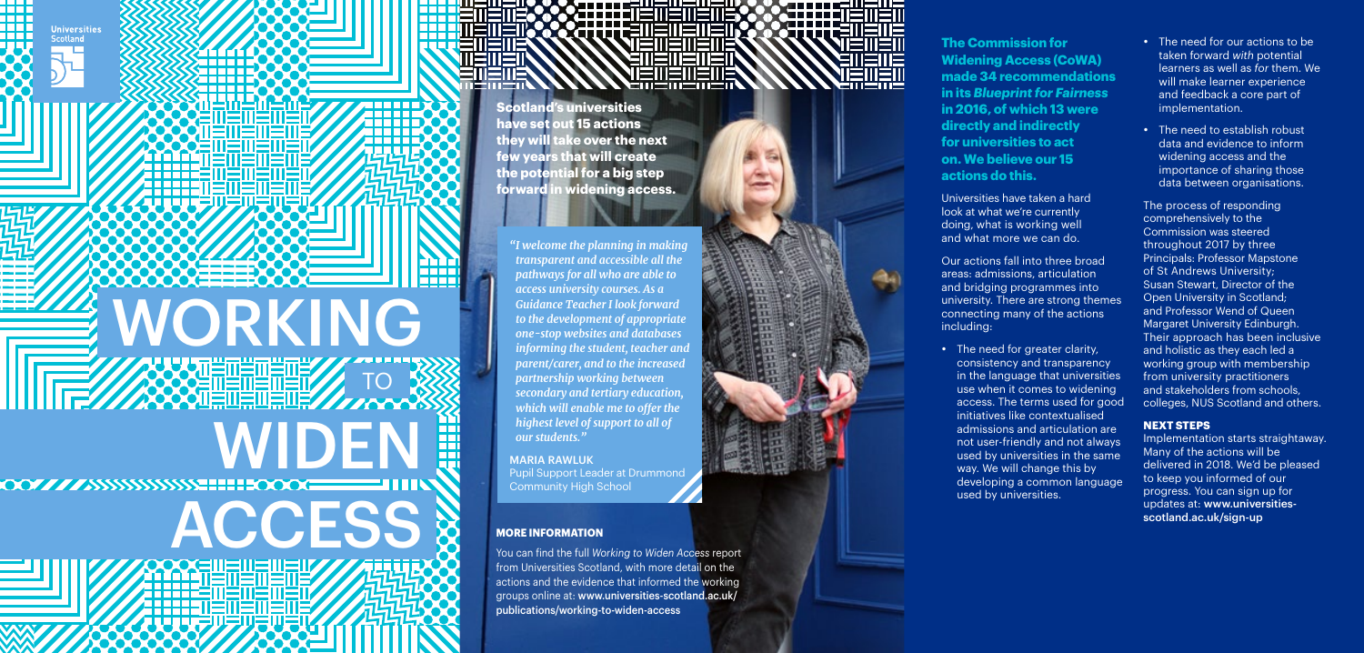**Universities** Scotland

18 E E

mm 1 N N N

**WORKING** 

**THE R** 

888

**TO BE AN ARRANGEMENT OF SHELL AND SOLUTIONS** 

WIDEN



**The Commission for Widening Access (CoWA) made 34 recommendations in its** *Blueprint for Fairness* **in 2016, of which 13 were directly and indirectly for universities to act on. We believe our 15 actions do this.** 

Universities have taken a hard look at what we're currently doing, what is working well and what more we can do.

Our actions fall into three broad areas: admissions, articulation and bridging programmes into university. There are strong themes connecting many of the actions including:

• The need for greater clarity, consistency and transparency in the language that universities use when it comes to widening access. The terms used for good initiatives like contextualised admissions and articulation are not user-friendly and not always used by universities in the same way. We will change this by developing a common language used by universities.

- The need for our actions to be taken forward *with* potential learners as well as *for* them. We will make learner experience and feedback a core part of implementation.
- The need to establish robust data and evidence to inform widening access and the importance of sharing those data between organisations.

The process of responding comprehensively to the Commission was steered throughout 2017 by three Principals: Professor Mapstone of St Andrews University; Susan Stewart, Director of the Open University in Scotland; and Professor Wend of Queen Margaret University Edinburgh. Their approach has been inclusive and holistic as they each led a working group with membership from university practitioners and stakeholders from schools, colleges, NUS Scotland and others.

## **NEXT STEPS**

Implementation starts straightaway. Many of the actions will be delivered in 2018. We'd be pleased to keep you informed of our progress. You can sign up for updates at: [www.universities](http://www.universities-scotland.ac.uk/sign-up)[scotland.ac.uk/sign-up](http://www.universities-scotland.ac.uk/sign-up)

You can find the full *Working to Widen Access* report from Universities Scotland, with more detail on the actions and the evidence that informed the working groups online at: [www.universities-scotland.ac.uk/](http://www.universities-scotland.ac.uk/publications/working-to-widen-access) [publications/working-to-widen-access](http://www.universities-scotland.ac.uk/publications/working-to-widen-access)

л

**EMEN** 

**Scotland's universities have set out 15 actions they will take over the next few years that will create the potential for a big step forward in widening access.**

*"I welcome the planning in making transparent and accessible all the pathways for all who are able to access university courses. As a Guidance Teacher I look forward to the development of appropriate one-stop websites and databases informing the student, teacher and parent/carer, and to the increased partnership working between secondary and tertiary education, which will enable me to offer the highest level of support to all of our students."*

MARIA RAWLUK Pupil Support Leader at Drummond Community High School

## ACCESS & MORE INFORMATION